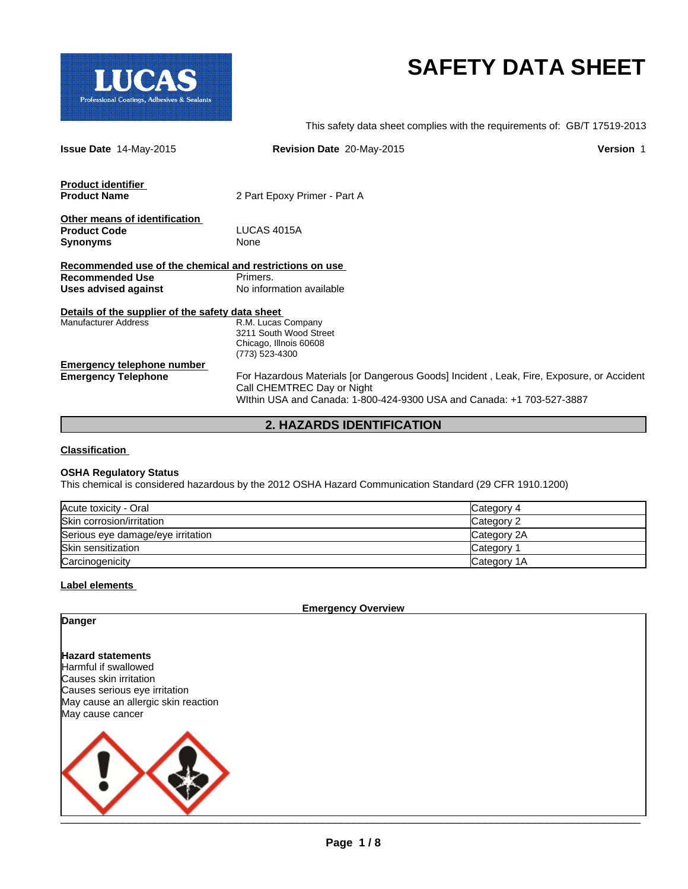

# **SAFETY DATA SHEET**

This safety data sheet complies with the requirements of: GB/T 17519-2013

| <b>Issue Date 14-May-2015</b>                           | <b>Revision Date 20-May-2015</b>                                                         | <b>Version 1</b> |
|---------------------------------------------------------|------------------------------------------------------------------------------------------|------------------|
| <b>Product identifier</b><br><b>Product Name</b>        | 2 Part Epoxy Primer - Part A                                                             |                  |
|                                                         |                                                                                          |                  |
| Other means of identification                           |                                                                                          |                  |
| <b>Product Code</b>                                     | LUCAS 4015A                                                                              |                  |
| <b>Synonyms</b>                                         | None                                                                                     |                  |
|                                                         |                                                                                          |                  |
| Recommended use of the chemical and restrictions on use |                                                                                          |                  |
| <b>Recommended Use</b>                                  | Primers.                                                                                 |                  |
| Uses advised against                                    | No information available                                                                 |                  |
| Details of the supplier of the safety data sheet        |                                                                                          |                  |
| <b>Manufacturer Address</b>                             | R.M. Lucas Company                                                                       |                  |
|                                                         | 3211 South Wood Street                                                                   |                  |
|                                                         | Chicago, Illnois 60608                                                                   |                  |
|                                                         | (773) 523-4300                                                                           |                  |
| <b>Emergency telephone number</b>                       |                                                                                          |                  |
| <b>Emergency Telephone</b>                              | For Hazardous Materials [or Dangerous Goods] Incident, Leak, Fire, Exposure, or Accident |                  |
|                                                         | Call CHEMTREC Day or Night                                                               |                  |
|                                                         | WIthin USA and Canada: 1-800-424-9300 USA and Canada: +1 703-527-3887                    |                  |
|                                                         |                                                                                          |                  |

**2. HAZARDS IDENTIFICATION**

#### **Classification**

#### **OSHA Regulatory Status**

This chemical is considered hazardous by the 2012 OSHA Hazard Communication Standard (29 CFR 1910.1200)

| Acute toxicity - Oral             | Category 4  |
|-----------------------------------|-------------|
| Skin corrosion/irritation         | Category 2  |
| Serious eye damage/eye irritation | Category 2A |
| Skin sensitization                | Category    |
| Carcinogenicity                   | Category 1A |

## **Label elements**

**Emergency Overview**

# **Danger**

**Hazard statements** Harmful if swallowed Causes skin irritation Causes serious eye irritation May cause an allergic skin reaction May cause cancer

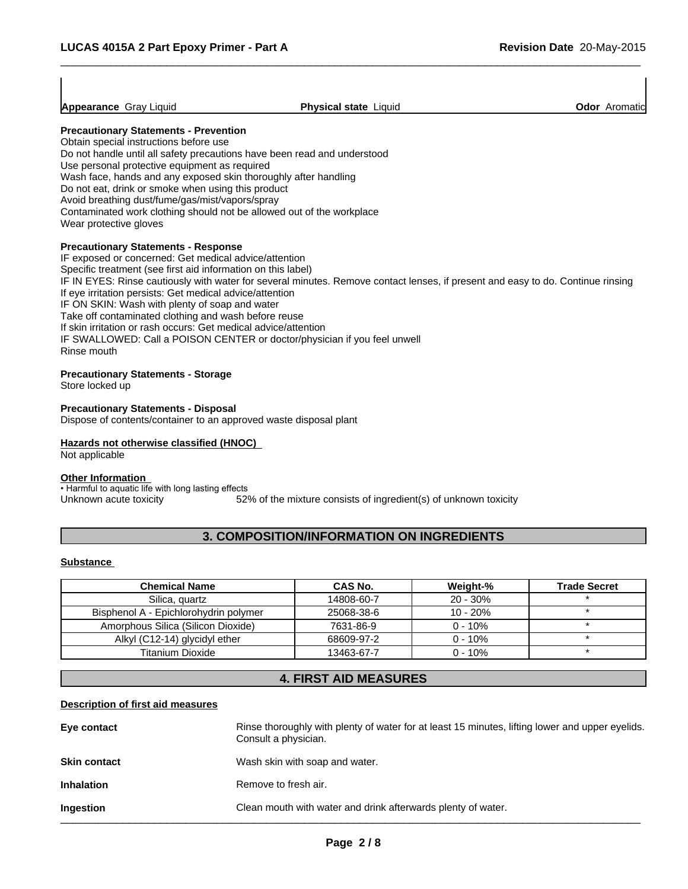**Appearance** Gray Liquid **Physical state** Liquid **Odor** Aromatic

 $\overline{\phantom{a}}$  ,  $\overline{\phantom{a}}$  ,  $\overline{\phantom{a}}$  ,  $\overline{\phantom{a}}$  ,  $\overline{\phantom{a}}$  ,  $\overline{\phantom{a}}$  ,  $\overline{\phantom{a}}$  ,  $\overline{\phantom{a}}$  ,  $\overline{\phantom{a}}$  ,  $\overline{\phantom{a}}$  ,  $\overline{\phantom{a}}$  ,  $\overline{\phantom{a}}$  ,  $\overline{\phantom{a}}$  ,  $\overline{\phantom{a}}$  ,  $\overline{\phantom{a}}$  ,  $\overline{\phantom{a}}$ 

# **Precautionary Statements - Prevention**

Obtain special instructions before use Do not handle until all safety precautions have been read and understood Use personal protective equipment as required Wash face, hands and any exposed skin thoroughly after handling Do not eat, drink or smoke when using this product Avoid breathing dust/fume/gas/mist/vapors/spray Contaminated work clothing should not be allowed out of the workplace Wear protective gloves

## **Precautionary Statements - Response**

IF exposed or concerned: Get medical advice/attention Specific treatment (see first aid information on this label) IF IN EYES: Rinse cautiously with water for several minutes. Remove contact lenses, if present and easy to do. Continue rinsing If eye irritation persists: Get medical advice/attention IF ON SKIN: Wash with plenty of soap and water Take off contaminated clothing and wash before reuse If skin irritation or rash occurs: Get medical advice/attention IF SWALLOWED: Call a POISON CENTER or doctor/physician if you feel unwell Rinse mouth

#### **Precautionary Statements - Storage**

Store locked up

#### **Precautionary Statements - Disposal**

Dispose of contents/container to an approved waste disposal plant

## **Hazards not otherwise classified (HNOC)**

Not applicable

# **Other Information**

• Harmful to aquatic life with long lasting effects Unknown acute toxicity 52% of the mixture consists of ingredient(s) of unknown toxicity

# **3. COMPOSITION/INFORMATION ON INGREDIENTS**

#### **Substance**

| <b>Chemical Name</b>                  | CAS No.    | Weight-%   | <b>Trade Secret</b> |
|---------------------------------------|------------|------------|---------------------|
| Silica, quartz                        | 14808-60-7 | $20 - 30%$ |                     |
| Bisphenol A - Epichlorohydrin polymer | 25068-38-6 | 10 - 20%   |                     |
| Amorphous Silica (Silicon Dioxide)    | 7631-86-9  | $0 - 10%$  |                     |
| Alkyl (C12-14) glycidyl ether         | 68609-97-2 | $0 - 10%$  |                     |
| Titanium Dioxide                      | 13463-67-7 | $0 - 10%$  |                     |

# **4. FIRST AID MEASURES**

#### **Description of first aid measures**

| Eye contact         | Rinse thoroughly with plenty of water for at least 15 minutes, lifting lower and upper eyelids.<br>Consult a physician. |
|---------------------|-------------------------------------------------------------------------------------------------------------------------|
| <b>Skin contact</b> | Wash skin with soap and water.                                                                                          |
| <b>Inhalation</b>   | Remove to fresh air.                                                                                                    |
| Ingestion           | Clean mouth with water and drink afterwards plenty of water.                                                            |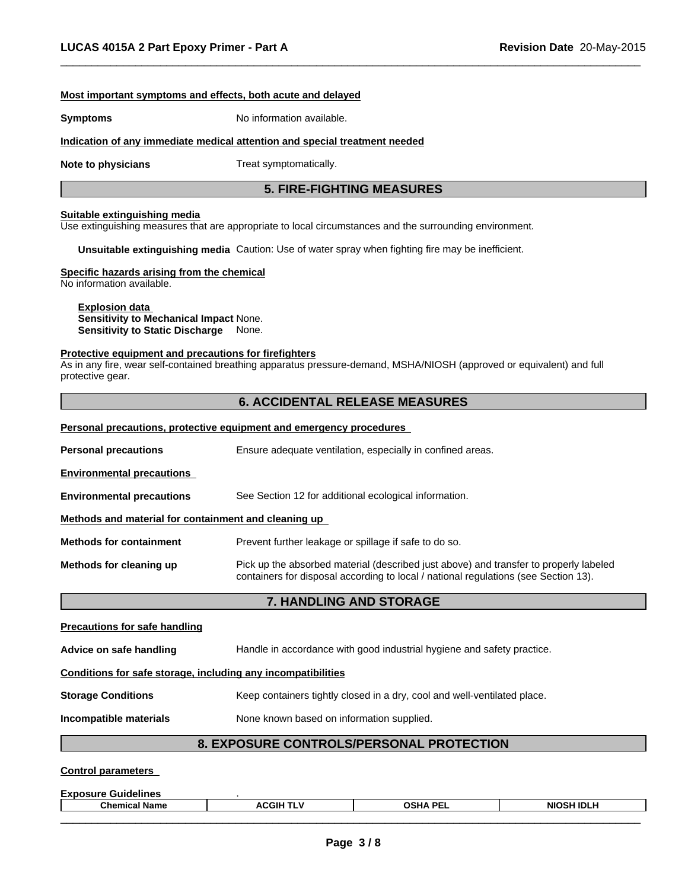#### **Most important symptoms and effects, both acute and delayed**

**Symptoms** No information available.

#### **Indication of any immediate medical attention and special treatment needed**

**Note to physicians** Treat symptomatically.

# **5. FIRE-FIGHTING MEASURES**

 $\overline{\phantom{a}}$  ,  $\overline{\phantom{a}}$  ,  $\overline{\phantom{a}}$  ,  $\overline{\phantom{a}}$  ,  $\overline{\phantom{a}}$  ,  $\overline{\phantom{a}}$  ,  $\overline{\phantom{a}}$  ,  $\overline{\phantom{a}}$  ,  $\overline{\phantom{a}}$  ,  $\overline{\phantom{a}}$  ,  $\overline{\phantom{a}}$  ,  $\overline{\phantom{a}}$  ,  $\overline{\phantom{a}}$  ,  $\overline{\phantom{a}}$  ,  $\overline{\phantom{a}}$  ,  $\overline{\phantom{a}}$ 

#### **Suitable extinguishing media**

Use extinguishing measures that are appropriate to local circumstances and the surrounding environment.

**Unsuitable extinguishing media** Caution: Use of water spray when fighting fire may be inefficient.

#### **Specific hazards arising from the chemical**

No information available.

**Explosion data Sensitivity to Mechanical Impact** None. **Sensitivity to Static Discharge** None.

#### **Protective equipment and precautions for firefighters**

As in any fire, wear self-contained breathing apparatus pressure-demand, MSHA/NIOSH (approved or equivalent) and full protective gear.

# **6. ACCIDENTAL RELEASE MEASURES**

|                                                      | <b>Personal precautions, protective equipment and emergency procedures</b>                                                                                                   |  |  |
|------------------------------------------------------|------------------------------------------------------------------------------------------------------------------------------------------------------------------------------|--|--|
| <b>Personal precautions</b>                          | Ensure adequate ventilation, especially in confined areas.                                                                                                                   |  |  |
| <b>Environmental precautions</b>                     |                                                                                                                                                                              |  |  |
| <b>Environmental precautions</b>                     | See Section 12 for additional ecological information.                                                                                                                        |  |  |
| Methods and material for containment and cleaning up |                                                                                                                                                                              |  |  |
| <b>Methods for containment</b>                       | Prevent further leakage or spillage if safe to do so.                                                                                                                        |  |  |
| Methods for cleaning up                              | Pick up the absorbed material (described just above) and transfer to properly labeled<br>containers for disposal according to local / national regulations (see Section 13). |  |  |
|                                                      | <b>7. HANDLING AND STORAGE</b>                                                                                                                                               |  |  |
| <b>Precautions for safe handling</b>                 |                                                                                                                                                                              |  |  |
|                                                      |                                                                                                                                                                              |  |  |

| Advice on safe handling                                      | Handle in accordance with good industrial hygiene and safety practice.   |
|--------------------------------------------------------------|--------------------------------------------------------------------------|
| Conditions for safe storage, including any incompatibilities |                                                                          |
| <b>Storage Conditions</b>                                    | Keep containers tightly closed in a dry, cool and well-ventilated place. |
| Incompatible materials                                       | None known based on information supplied.                                |
|                                                              |                                                                          |

# **8. EXPOSURE CONTROLS/PERSONAL PROTECTION**

#### **Control parameters**

**Exposure Guidelines** .

| <b>Chemical Name</b> | <b>ACGII</b> | ` PEL<br>OSHA | <b>NIOS</b><br>'4 IDL.<br>,,,, |  |
|----------------------|--------------|---------------|--------------------------------|--|
|                      |              |               |                                |  |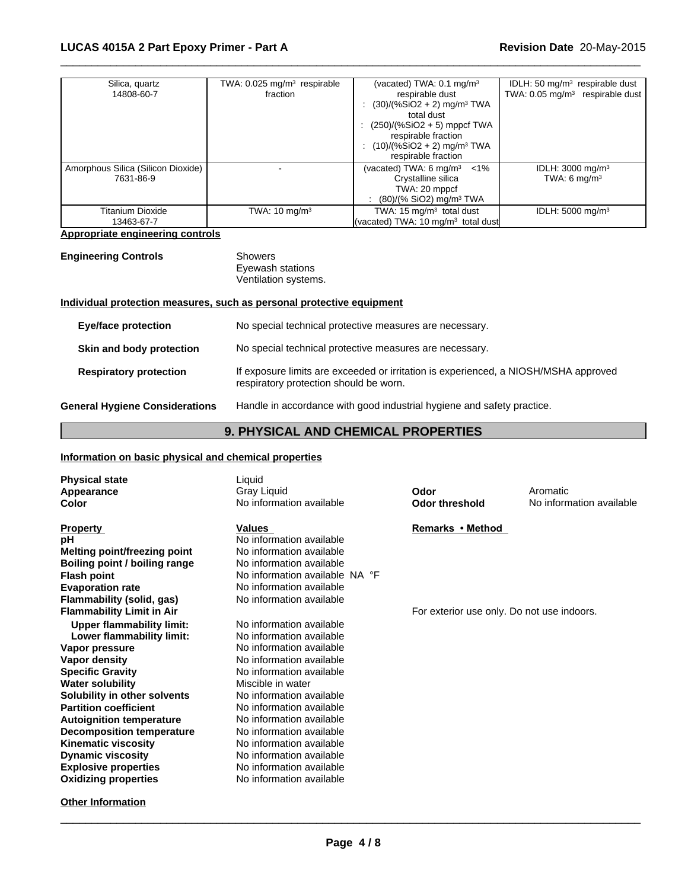| Silica, quartz<br>14808-60-7                    | TWA: $0.025$ mg/m <sup>3</sup> respirable<br>fraction | (vacated) TWA: $0.1 \text{ mg/m}^3$<br>respirable dust<br>$(30)/(%SiO2 + 2)$ mg/m <sup>3</sup> TWA<br>total dust<br>: $(250)/(%SiO2 + 5)$ mppcf TWA<br>respirable fraction<br>$(10)/(%SiO2 + 2)$ mg/m <sup>3</sup> TWA<br>respirable fraction | IDLH: 50 $mg/m3$ respirable dust<br>TWA: 0.05 mg/m <sup>3</sup> respirable dust |
|-------------------------------------------------|-------------------------------------------------------|-----------------------------------------------------------------------------------------------------------------------------------------------------------------------------------------------------------------------------------------------|---------------------------------------------------------------------------------|
| Amorphous Silica (Silicon Dioxide)<br>7631-86-9 |                                                       | (vacated) TWA: 6 mg/m <sup>3</sup><br>$< 1\%$<br>Crystalline silica<br>TWA: 20 mppcf<br>$(80)/(%$ SiO2) mg/m <sup>3</sup> TWA                                                                                                                 | IDLH: $3000 \text{ mg/m}^3$<br>TWA: 6 $mq/m3$                                   |
| <b>Titanium Dioxide</b><br>13463-67-7           | TWA: $10 \text{ mg/m}^3$                              | TWA: 15 $mg/m3$ total dust<br>(vacated) TWA: 10 $mq/m3$ total dust                                                                                                                                                                            | IDLH: $5000 \text{ mg/m}^3$                                                     |

 $\overline{\phantom{a}}$  ,  $\overline{\phantom{a}}$  ,  $\overline{\phantom{a}}$  ,  $\overline{\phantom{a}}$  ,  $\overline{\phantom{a}}$  ,  $\overline{\phantom{a}}$  ,  $\overline{\phantom{a}}$  ,  $\overline{\phantom{a}}$  ,  $\overline{\phantom{a}}$  ,  $\overline{\phantom{a}}$  ,  $\overline{\phantom{a}}$  ,  $\overline{\phantom{a}}$  ,  $\overline{\phantom{a}}$  ,  $\overline{\phantom{a}}$  ,  $\overline{\phantom{a}}$  ,  $\overline{\phantom{a}}$ 

## **Appropriate engineering controls**

## **Engineering Controls** Showers

Eyewash stations Ventilation systems.

# **Individual protection measures, such as personal protective equipment**

| <b>Eye/face protection</b>            | No special technical protective measures are necessary.                                                                       |
|---------------------------------------|-------------------------------------------------------------------------------------------------------------------------------|
| Skin and body protection              | No special technical protective measures are necessary.                                                                       |
| <b>Respiratory protection</b>         | If exposure limits are exceeded or irritation is experienced, a NIOSH/MSHA approved<br>respiratory protection should be worn. |
| <b>General Hygiene Considerations</b> | Handle in accordance with good industrial hygiene and safety practice.                                                        |

# **9. PHYSICAL AND CHEMICAL PROPERTIES**

# **Information on basic physical and chemical properties**

| <b>Physical state</b><br>Appearance<br>Color | Liquid<br>Gray Liquid<br>No information available | Odor<br><b>Odor threshold</b>              | Aromatic<br>No information available |
|----------------------------------------------|---------------------------------------------------|--------------------------------------------|--------------------------------------|
|                                              |                                                   |                                            |                                      |
| <b>Property</b>                              | Values                                            | Remarks • Method                           |                                      |
| рH                                           | No information available                          |                                            |                                      |
| Melting point/freezing point                 | No information available                          |                                            |                                      |
| Boiling point / boiling range                | No information available                          |                                            |                                      |
| <b>Flash point</b>                           | No information available NA °F                    |                                            |                                      |
| <b>Evaporation rate</b>                      | No information available                          |                                            |                                      |
| Flammability (solid, gas)                    | No information available                          |                                            |                                      |
| <b>Flammability Limit in Air</b>             |                                                   | For exterior use only. Do not use indoors. |                                      |
| <b>Upper flammability limit:</b>             | No information available                          |                                            |                                      |
| Lower flammability limit:                    | No information available                          |                                            |                                      |
| Vapor pressure                               | No information available                          |                                            |                                      |
| Vapor density                                | No information available                          |                                            |                                      |
| <b>Specific Gravity</b>                      | No information available                          |                                            |                                      |
| <b>Water solubility</b>                      | Miscible in water                                 |                                            |                                      |
| Solubility in other solvents                 | No information available                          |                                            |                                      |
| <b>Partition coefficient</b>                 | No information available                          |                                            |                                      |
| <b>Autoignition temperature</b>              | No information available                          |                                            |                                      |
| <b>Decomposition temperature</b>             | No information available                          |                                            |                                      |
| <b>Kinematic viscosity</b>                   | No information available                          |                                            |                                      |
| <b>Dynamic viscosity</b>                     | No information available                          |                                            |                                      |
| <b>Explosive properties</b>                  | No information available                          |                                            |                                      |
| <b>Oxidizing properties</b>                  | No information available                          |                                            |                                      |
|                                              |                                                   |                                            |                                      |
|                                              |                                                   |                                            |                                      |

# **Other Information**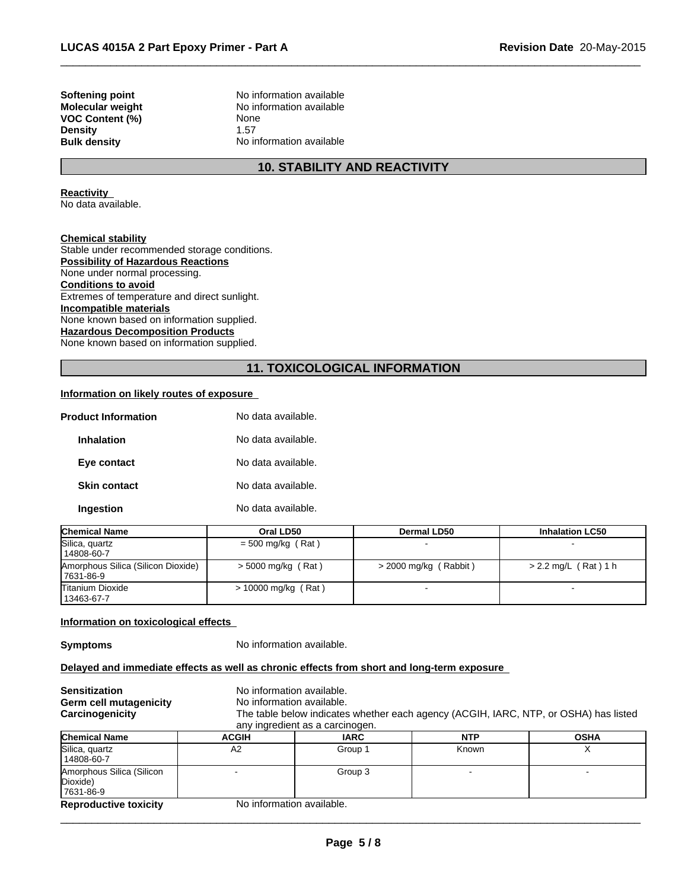**VOC Content (%)** None **Density** 1.57<br> **Bulk density** No in

**Softening point No information available**<br> **Molecular weight No information available No information available No information available** 

# **10. STABILITY AND REACTIVITY**

 $\overline{\phantom{a}}$  ,  $\overline{\phantom{a}}$  ,  $\overline{\phantom{a}}$  ,  $\overline{\phantom{a}}$  ,  $\overline{\phantom{a}}$  ,  $\overline{\phantom{a}}$  ,  $\overline{\phantom{a}}$  ,  $\overline{\phantom{a}}$  ,  $\overline{\phantom{a}}$  ,  $\overline{\phantom{a}}$  ,  $\overline{\phantom{a}}$  ,  $\overline{\phantom{a}}$  ,  $\overline{\phantom{a}}$  ,  $\overline{\phantom{a}}$  ,  $\overline{\phantom{a}}$  ,  $\overline{\phantom{a}}$ 

#### **Reactivity**

No data available.

**Chemical stability** Stable under recommended storage conditions. **Possibility of Hazardous Reactions** None under normal processing. **Conditions to avoid** Extremes of temperature and direct sunlight. **Incompatible materials** None known based on information supplied. **Hazardous Decomposition Products** None known based on information supplied.

# **11. TOXICOLOGICAL INFORMATION**

#### **Information on likely routes of exposure**

| <b>Product Information</b> | No data available. |
|----------------------------|--------------------|
| <b>Inhalation</b>          | No data available. |
| Eye contact                | No data available. |
| <b>Skin contact</b>        | No data available. |
| Ingestion                  | No data available. |

| <b>Chemical Name</b>                             | Oral LD50             | <b>Dermal LD50</b>      | <b>Inhalation LC50</b> |
|--------------------------------------------------|-----------------------|-------------------------|------------------------|
| Silica, quartz<br>14808-60-7                     | $=$ 500 mg/kg (Rat)   |                         |                        |
| Amorphous Silica (Silicon Dioxide)<br>17631-86-9 | $> 5000$ mg/kg (Rat)  | $>$ 2000 mg/kg (Rabbit) | $> 2.2$ mg/L (Rat) 1 h |
| Titanium Dioxide<br>13463-67-7                   | $> 10000$ mg/kg (Rat) |                         |                        |

#### **Information on toxicological effects**

**Symptoms** No information available.

## **Delayed and immediate effects as well as chronic effects from short and long-term exposure**

| <b>Sensitization</b><br>Germ cell mutagenicity<br>Carcinogenicity | No information available.<br>No information available. | any ingredient as a carcinogen. | The table below indicates whether each agency (ACGIH, IARC, NTP, or OSHA) has listed |             |
|-------------------------------------------------------------------|--------------------------------------------------------|---------------------------------|--------------------------------------------------------------------------------------|-------------|
| <b>Chemical Name</b>                                              | <b>ACGIH</b>                                           | <b>IARC</b>                     | <b>NTP</b>                                                                           | <b>OSHA</b> |
| Silica, quartz<br>14808-60-7                                      | A2                                                     | Group 1                         | Known                                                                                |             |
| Amorphous Silica (Silicon<br>Dioxide)<br>17631-86-9               |                                                        | Group 3                         |                                                                                      |             |
| <b>Reproductive toxicity</b>                                      | No information available.                              |                                 |                                                                                      |             |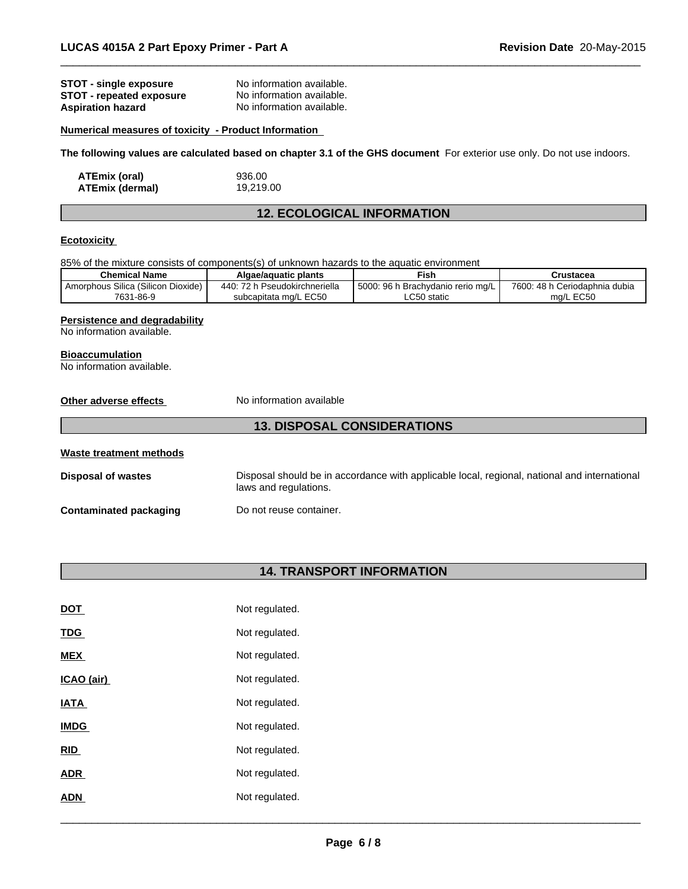| STOT - single exposure   | No information available. |
|--------------------------|---------------------------|
| STOT - repeated exposure | No information available. |
| <b>Aspiration hazard</b> | No information available. |

#### **Numerical measures of toxicity - Product Information**

**The following values are calculated based on chapter 3.1 of the GHS document** For exterior use only. Do not use indoors.

| ATEmix (oral)   | 936.00    |
|-----------------|-----------|
| ATEmix (dermal) | 19,219.00 |

# **12. ECOLOGICAL INFORMATION**

 $\overline{\phantom{a}}$  ,  $\overline{\phantom{a}}$  ,  $\overline{\phantom{a}}$  ,  $\overline{\phantom{a}}$  ,  $\overline{\phantom{a}}$  ,  $\overline{\phantom{a}}$  ,  $\overline{\phantom{a}}$  ,  $\overline{\phantom{a}}$  ,  $\overline{\phantom{a}}$  ,  $\overline{\phantom{a}}$  ,  $\overline{\phantom{a}}$  ,  $\overline{\phantom{a}}$  ,  $\overline{\phantom{a}}$  ,  $\overline{\phantom{a}}$  ,  $\overline{\phantom{a}}$  ,  $\overline{\phantom{a}}$ 

# **Ecotoxicity**

85% of the mixture consists of components(s) of unknown hazards to the aquatic environment

| <b>Chemical Name</b>                    | Algae/aguatic plants                            | <b>Fish</b>                                 | Crustacea                          |
|-----------------------------------------|-------------------------------------------------|---------------------------------------------|------------------------------------|
| Amorphous Silica (Silicon L<br>Dioxide) | 44 <sup>C</sup><br>70.<br>ı Pseudokirchneriella | : 96 h<br>5000:<br>ı Brachvdanio rerio mɑ/L | 7600: 48 h<br>ı Ceriodaphnia dubia |
| 7631-86-9                               | subcapitata mg/L EC50                           | $\mathsf{L}$ C50 static                     | <b>LEC50</b><br>ma/l               |

## **Persistence and degradability**

No information available.

#### **Bioaccumulation**

No information available.

| Other adverse effects              | No information available                                                                                              |  |  |  |
|------------------------------------|-----------------------------------------------------------------------------------------------------------------------|--|--|--|
| <b>13. DISPOSAL CONSIDERATIONS</b> |                                                                                                                       |  |  |  |
| Waste treatment methods            |                                                                                                                       |  |  |  |
| <b>Disposal of wastes</b>          | Disposal should be in accordance with applicable local, regional, national and international<br>laws and regulations. |  |  |  |
| <b>Contaminated packaging</b>      | Do not reuse container.                                                                                               |  |  |  |

# **14. TRANSPORT INFORMATION**

| DOT         | Not regulated. |
|-------------|----------------|
| <b>TDG</b>  | Not regulated. |
| <b>MEX</b>  | Not regulated. |
| ICAO (air)  | Not regulated. |
| <b>IATA</b> | Not regulated. |
| <b>IMDG</b> | Not regulated. |
| <b>RID</b>  | Not regulated. |
| <b>ADR</b>  | Not regulated. |
| <b>ADN</b>  | Not regulated. |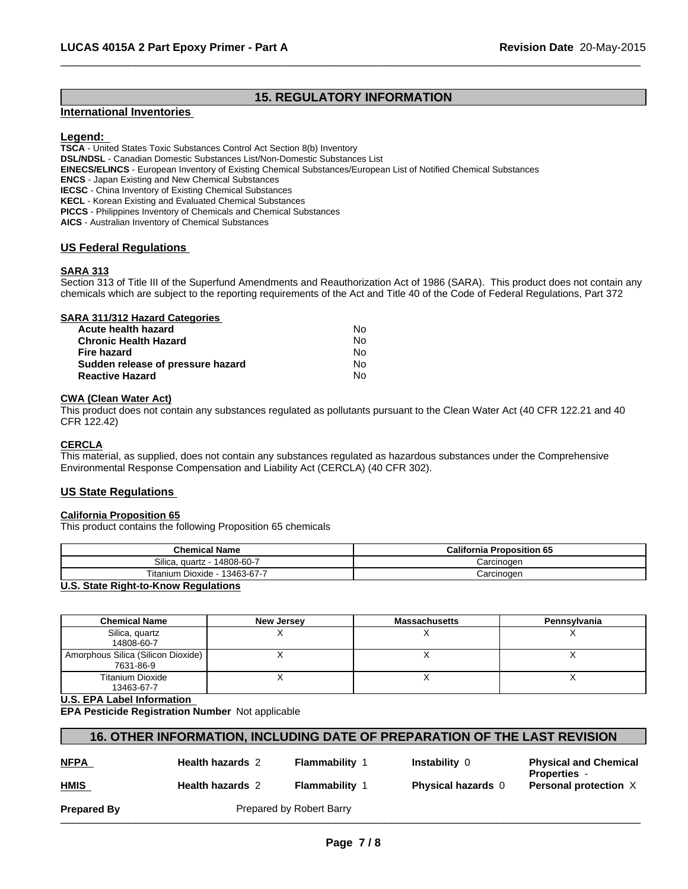# **15. REGULATORY INFORMATION**

 $\overline{\phantom{a}}$  ,  $\overline{\phantom{a}}$  ,  $\overline{\phantom{a}}$  ,  $\overline{\phantom{a}}$  ,  $\overline{\phantom{a}}$  ,  $\overline{\phantom{a}}$  ,  $\overline{\phantom{a}}$  ,  $\overline{\phantom{a}}$  ,  $\overline{\phantom{a}}$  ,  $\overline{\phantom{a}}$  ,  $\overline{\phantom{a}}$  ,  $\overline{\phantom{a}}$  ,  $\overline{\phantom{a}}$  ,  $\overline{\phantom{a}}$  ,  $\overline{\phantom{a}}$  ,  $\overline{\phantom{a}}$ 

#### **International Inventories**

# **Legend:**

**TSCA** - United States Toxic Substances Control Act Section 8(b) Inventory **DSL/NDSL** - Canadian Domestic Substances List/Non-Domestic Substances List **EINECS/ELINCS** - European Inventory of Existing Chemical Substances/European List of Notified Chemical Substances **ENCS** - Japan Existing and New Chemical Substances **IECSC** - China Inventory of Existing Chemical Substances **KECL** - Korean Existing and Evaluated Chemical Substances **PICCS** - Philippines Inventory of Chemicals and Chemical Substances **AICS** - Australian Inventory of Chemical Substances

# **US Federal Regulations**

# **SARA 313**

Section 313 of Title III of the Superfund Amendments and Reauthorization Act of 1986 (SARA). This product does not contain any chemicals which are subject to the reporting requirements of the Act and Title 40 of the Code of Federal Regulations, Part 372

| SARA 311/312 Hazard Categories    |    |  |
|-----------------------------------|----|--|
| Acute health hazard               | N٥ |  |
| <b>Chronic Health Hazard</b>      | No |  |
| <b>Fire hazard</b>                | No |  |
| Sudden release of pressure hazard | No |  |
| <b>Reactive Hazard</b>            | No |  |

#### **CWA (Clean Water Act)**

This product does not contain any substances regulated as pollutants pursuant to the Clean Water Act (40 CFR 122.21 and 40 CFR 122.42)

# **CERCLA**

This material, as supplied, does not contain any substances regulated as hazardous substances under the Comprehensive Environmental Response Compensation and Liability Act (CERCLA) (40 CFR 302).

#### **US State Regulations**

#### **California Proposition 65**

This product contains the following Proposition 65 chemicals

| <b>Chemical Name</b>                      | <b>California Proposition 65</b> |
|-------------------------------------------|----------------------------------|
| Silica.<br>14808-60-7<br>quartz<br>$\sim$ | Carcinoɑen                       |
| 13463-67-7<br>Titanium<br>. Dioxide       | Carcinoɑen                       |

#### **U.S. State Right-to-Know Regulations**

| <b>Chemical Name</b>                            | New Jersey | <b>Massachusetts</b> | Pennsylvania |
|-------------------------------------------------|------------|----------------------|--------------|
| Silica, quartz<br>14808-60-7                    |            |                      |              |
| Amorphous Silica (Silicon Dioxide)<br>7631-86-9 |            |                      |              |
| <b>Titanium Dioxide</b><br>13463-67-7           |            |                      |              |

**U.S. EPA Label Information** 

**EPA Pesticide Registration Number** Not applicable

# **16. OTHER INFORMATION, INCLUDING DATE OF PREPARATION OF THE LAST REVISION**

| ۴<br>N<br>٠, |  |
|--------------|--|
|              |  |
| HMIS         |  |

**Health hazards** 2 **Flammability** 1 **Instability** 0

**Physical hazards 0 Personal protection X Physical and Chemical Properties** -

**Prepared By** Prepared by Robert Barry \_\_\_\_\_\_\_\_\_\_\_\_\_\_\_\_\_\_\_\_\_\_\_\_\_\_\_\_\_\_\_\_\_\_\_\_\_\_\_\_\_\_\_\_\_\_\_\_\_\_\_\_\_\_\_\_\_\_\_\_\_\_\_\_\_\_\_\_\_\_\_\_\_\_\_\_\_\_\_\_\_\_\_\_\_\_\_\_\_\_\_\_\_

**Health hazards 2 Flammability 1**